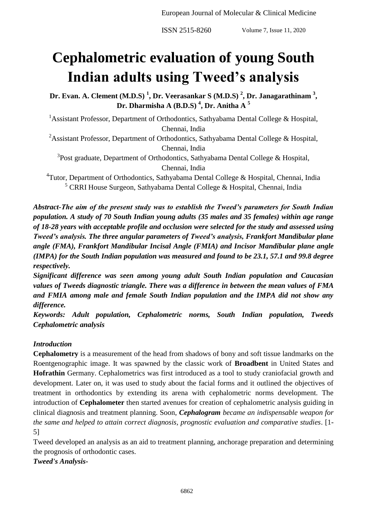**ISSN 2515-8260** Volume 7, Issue 11, 2020

# **Cephalometric evaluation of young South Indian adults using Tweed's analysis**

**Dr. Evan. A. Clement (M.D.S) <sup>1</sup> , Dr. Veerasankar S (M.D.S) <sup>2</sup> , Dr. Janagarathinam <sup>3</sup> , Dr. Dharmisha A (B.D.S) <sup>4</sup> , Dr. Anitha A <sup>5</sup>**

<sup>1</sup>Assistant Professor, Department of Orthodontics, Sathyabama Dental College & Hospital, Chennai, India

<sup>2</sup>Assistant Professor, Department of Orthodontics, Sathyabama Dental College & Hospital, Chennai, India

<sup>3</sup>Post graduate, Department of Orthodontics, Sathyabama Dental College & Hospital, Chennai, India

<sup>4</sup>Tutor, Department of Orthodontics, Sathyabama Dental College & Hospital, Chennai, India <sup>5</sup> CRRI House Surgeon, Sathyabama Dental College & Hospital, Chennai, India

*Abstract-The aim of the present study was to establish the Tweed's parameters for South Indian population. A study of 70 South Indian young adults (35 males and 35 females) within age range of 18-28 years with acceptable profile and occlusion were selected for the study and assessed using Tweed's analysis. The three angular parameters of Tweed's analysis, Frankfort Mandibular plane angle (FMA), Frankfort Mandibular Incisal Angle (FMIA) and Incisor Mandibular plane angle (IMPA) for the South Indian population was measured and found to be 23.1, 57.1 and 99.8 degree respectively.*

*Significant difference was seen among young adult South Indian population and Caucasian values of Tweeds diagnostic triangle. There was a difference in between the mean values of FMA and FMIA among male and female South Indian population and the IMPA did not show any difference.*

*Keywords: Adult population, Cephalometric norms, South Indian population, Tweeds Cephalometric analysis*

## *Introduction*

**Cephalometry** is a measurement of the head from shadows of bony and soft tissue landmarks on the Roentgenographic image. It was spawned by the classic work of **Broadbent** in United States and **Hofrathin** Germany. Cephalometrics was first introduced as a tool to study craniofacial growth and development. Later on, it was used to study about the facial forms and it outlined the objectives of treatment in orthodontics by extending its arena with cephalometric norms development. The introduction of **Cephalometer** then started avenues for creation of cephalometric analysis guiding in clinical diagnosis and treatment planning. Soon, *Cephalogram became an indispensable weapon for the same and helped to attain correct diagnosis, prognostic evaluation and comparative studies*. [1- 5]

Tweed developed an analysis as an aid to treatment planning, anchorage preparation and determining the prognosis of orthodontic cases.

*Tweed's Analysis-*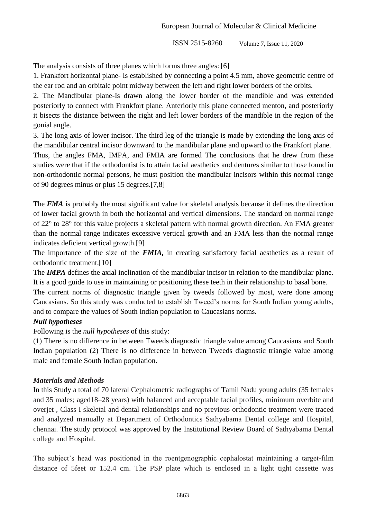**ISSN 2515-8260** Volume 7, Issue 11, 2020

The analysis consists of three planes which forms three angles: [6]

1. Frankfort horizontal plane- Is established by connecting a point 4.5 mm, above geometric centre of the ear rod and an orbitale point midway between the left and right lower borders of the orbits.

2. The Mandibular plane-Is drawn along the lower border of the mandible and was extended posteriorly to connect with Frankfort plane. Anteriorly this plane connected menton, and posteriorly it bisects the distance between the right and left lower borders of the mandible in the region of the gonial angle.

3. The long axis of lower incisor. The third leg of the triangle is made by extending the long axis of the mandibular central incisor downward to the mandibular plane and upward to the Frankfort plane.

Thus, the angles FMA, IMPA, and FMIA are formed The conclusions that he drew from these studies were that if the orthodontist is to attain facial aesthetics and dentures similar to those found in non-orthodontic normal persons, he must position the mandibular incisors within this normal range of 90 degrees minus or plus 15 degrees.[7,8]

The *FMA* is probably the most significant value for skeletal analysis because it defines the direction of lower facial growth in both the horizontal and vertical dimensions. The standard on normal range of 22° to 28° for this value projects a skeletal pattern with normal growth direction. An FMA greater than the normal range indicates excessive vertical growth and an FMA less than the normal range indicates deficient vertical growth.[9]

The importance of the size of the *FMIA,* in creating satisfactory facial aesthetics as a result of orthodontic treatment.[10]

The *IMPA* defines the axial inclination of the mandibular incisor in relation to the mandibular plane. It is a good guide to use in maintaining or positioning these teeth in their relationship to basal bone.

The current norms of diagnostic triangle given by tweeds followed by most, were done among Caucasians. So this study was conducted to establish Tweed's norms for South Indian young adults, and to compare the values of South Indian population to Caucasians norms.

## *Null hypotheses*

Following is the *null hypotheses* of this study:

(1) There is no difference in between Tweeds diagnostic triangle value among Caucasians and South Indian population (2) There is no difference in between Tweeds diagnostic triangle value among male and female South Indian population.

## *Materials and Methods*

In this Study a total of 70 lateral Cephalometric radiographs of Tamil Nadu young adults (35 females and 35 males; aged18–28 years) with balanced and acceptable facial profiles, minimum overbite and overjet , Class I skeletal and dental relationships and no previous orthodontic treatment were traced and analyzed manually at Department of Orthodontics Sathyabama Dental college and Hospital, chennai. The study protocol was approved by the Institutional Review Board of Sathyabama Dental college and Hospital.

The subject's head was positioned in the roentgenographic cephalostat maintaining a target-film distance of 5feet or 152.4 cm. The PSP plate which is enclosed in a light tight cassette was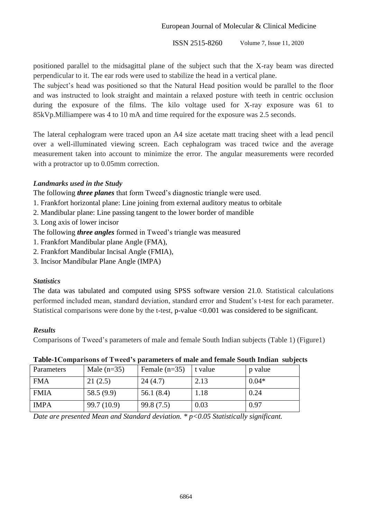**ISSN 2515-8260** Volume 7, Issue 11, 2020

positioned parallel to the midsagittal plane of the subject such that the X-ray beam was directed perpendicular to it. The ear rods were used to stabilize the head in a vertical plane.

The subject's head was positioned so that the Natural Head position would be parallel to the floor and was instructed to look straight and maintain a relaxed posture with teeth in centric occlusion during the exposure of the films. The kilo voltage used for X-ray exposure was 61 to 85kVp.Milliampere was 4 to 10 mA and time required for the exposure was 2.5 seconds.

The lateral cephalogram were traced upon an A4 size acetate matt tracing sheet with a lead pencil over a well-illuminated viewing screen. Each cephalogram was traced twice and the average measurement taken into account to minimize the error. The angular measurements were recorded with a protractor up to 0.05mm correction.

## *Landmarks used in the Study*

The following *three planes* that form Tweed's diagnostic triangle were used.

- 1. Frankfort horizontal plane: Line joining from external auditory meatus to orbitale
- 2. Mandibular plane: Line passing tangent to the lower border of mandible
- 3. Long axis of lower incisor

The following *three angles* formed in Tweed's triangle was measured

- 1. Frankfort Mandibular plane Angle (FMA),
- 2. Frankfort Mandibular Incisal Angle (FMIA),
- 3. Incisor Mandibular Plane Angle (IMPA)

#### *Statistics*

The data was tabulated and computed using SPSS software version 21.0. Statistical calculations performed included mean, standard deviation, standard error and Student's t-test for each parameter. Statistical comparisons were done by the t-test, p-value <0.001 was considered to be significant.

#### *Results*

Comparisons of Tweed's parameters of male and female South Indian subjects (Table 1) (Figure1)

| $\sim$ which is considered to the contract the state of $\sim$ contract the state of the state of $\sim$ which contract the contract of $\sim$ |               |                 |         |         |  |  |  |
|------------------------------------------------------------------------------------------------------------------------------------------------|---------------|-----------------|---------|---------|--|--|--|
| Parameters                                                                                                                                     | Male $(n=35)$ | Female $(n=35)$ | t value | p value |  |  |  |
| <b>FMA</b>                                                                                                                                     | 21(2.5)       | 24(4.7)         | 2.13    | $0.04*$ |  |  |  |
| <b>FMIA</b>                                                                                                                                    | 58.5(9.9)     | 56.1 $(8.4)$    | 1.18    | 0.24    |  |  |  |
| <b>IMPA</b>                                                                                                                                    | 99.7 (10.9)   | 99.8(7.5)       | 0.03    | 0.97    |  |  |  |

#### **Table-1Comparisons of Tweed's parameters of male and female South Indian subjects**

*Date are presented Mean and Standard deviation. \* p<0.05 Statistically significant.*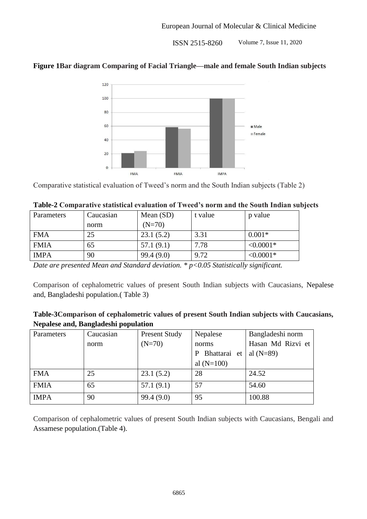**ISSN 2515-8260** Volume 7, Issue 11, 2020

## **Figure 1Bar diagram Comparing of Facial Triangle—male and female South Indian subjects**



Comparative statistical evaluation of Tweed's norm and the South Indian subjects (Table 2)

| Parameters  | Caucasian | Mean $(SD)$ | t value | p value     |
|-------------|-----------|-------------|---------|-------------|
|             | norm      | $(N=70)$    |         |             |
| <b>FMA</b>  | 25        | 23.1(5.2)   | 3.31    | $0.001*$    |
| <b>FMIA</b> | 65        | 57.1(9.1)   | 7.78    | $< 0.0001*$ |
| <b>IMPA</b> | 90        | 99.4(9.0)   | 9.72    | $< 0.0001*$ |

#### **Table-2 Comparative statistical evaluation of Tweed's norm and the South Indian subjects**

*Date are presented Mean and Standard deviation. \* p<0.05 Statistically significant.*

Comparison of cephalometric values of present South Indian subjects with Caucasians, Nepalese and, Bangladeshi population.( Table 3)

| Table-3Comparison of cephalometric values of present South Indian subjects with Caucasians, |  |  |
|---------------------------------------------------------------------------------------------|--|--|
| Nepalese and, Bangladeshi population                                                        |  |  |

| Parameters  | Caucasian | <b>Present Study</b> | Nepalese       | Bangladeshi norm  |  |
|-------------|-----------|----------------------|----------------|-------------------|--|
|             | norm      | $(N=70)$             | norms          | Hasan Md Rizvi et |  |
|             |           |                      | P Bhattarai et | al $(N=89)$       |  |
|             |           |                      | al $(N=100)$   |                   |  |
| <b>FMA</b>  | 25        | 23.1(5.2)            | 28             | 24.52             |  |
| <b>FMIA</b> | 65        | 57.1(9.1)            | 57             | 54.60             |  |
| <b>IMPA</b> | 90        | 99.4(9.0)            | 95             | 100.88            |  |

Comparison of cephalometric values of present South Indian subjects with Caucasians, Bengali and Assamese population.(Table 4).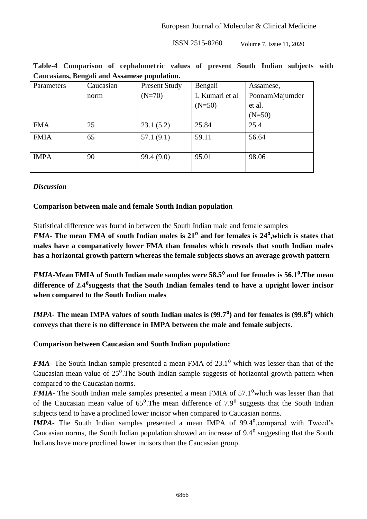$ISSN 2515-8260$  Volume 7, Issue 11, 2020

|  | Table-4 Comparison of cephalometric values of present South Indian subjects with |  |  |  |  |
|--|----------------------------------------------------------------------------------|--|--|--|--|
|  | Caucasians, Bengali and Assamese population.                                     |  |  |  |  |

| Parameters  | Caucasian | <b>Present Study</b> | Bengali        | Assamese,      |
|-------------|-----------|----------------------|----------------|----------------|
|             | norm      | $(N=70)$             | L Kumari et al | PoonamMajumder |
|             |           |                      | $(N=50)$       | et al.         |
|             |           |                      |                | $(N=50)$       |
| <b>FMA</b>  | 25        | 23.1(5.2)            | 25.84          | 25.4           |
| <b>FMIA</b> | 65        | 57.1(9.1)            | 59.11          | 56.64          |
|             |           |                      |                |                |
| <b>IMPA</b> | 90        | 99.4 (9.0)           | 95.01          | 98.06          |
|             |           |                      |                |                |

## *Discussion*

## **Comparison between male and female South Indian population**

Statistical difference was found in between the South Indian male and female samples

*FMA*- The mean FMA of south Indian males is 21<sup>°</sup> and for females is 24<sup>°</sup>, which is states that **males have a comparatively lower FMA than females which reveals that south Indian males has a horizontal growth pattern whereas the female subjects shows an average growth pattern**

*FMIA*-Mean FMIA of South Indian male samples were 58.5<sup>°</sup> and for females is 56.1<sup>°</sup>. The mean **difference of 2.4**⁰**suggests that the South Indian females tend to have a upright lower incisor when compared to the South Indian males**

*IMPA*- The mean IMPA values of south Indian males is (99.7<sup>0</sup>) and for females is (99.8<sup>0</sup>) which **conveys that there is no difference in IMPA between the male and female subjects.**

## **Comparison between Caucasian and South Indian population:**

*FMA*- The South Indian sample presented a mean FMA of 23.1<sup>0</sup> which was lesser than that of the Caucasian mean value of  $25^{\circ}$ . The South Indian sample suggests of horizontal growth pattern when compared to the Caucasian norms.

*FMIA*- The South Indian male samples presented a mean FMIA of 57.1<sup>0</sup>which was lesser than that of the Caucasian mean value of  $65^{\circ}$ . The mean difference of  $7.9^{\circ}$  suggests that the South Indian subjects tend to have a proclined lower incisor when compared to Caucasian norms.

*IMPA*- The South Indian samples presented a mean IMPA of 99.4<sup>0</sup>, compared with Tweed's Caucasian norms, the South Indian population showed an increase of  $9.4<sup>0</sup>$  suggesting that the South Indians have more proclined lower incisors than the Caucasian group.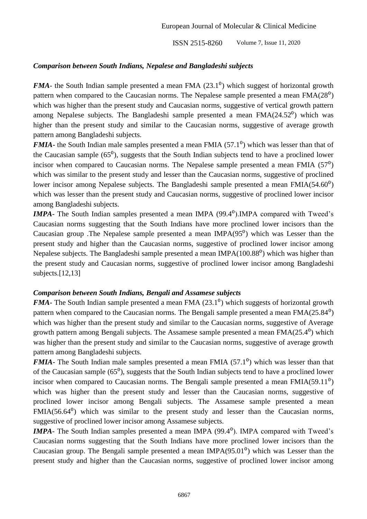**ISSN 2515-8260** Volume 7, Issue 11, 2020

## *Comparison between South Indians, Nepalese and Bangladeshi subjects*

*FMA*- the South Indian sample presented a mean FMA (23.1<sup>0</sup>) which suggest of horizontal growth pattern when compared to the Caucasian norms. The Nepalese sample presented a mean  $FMA(28<sup>o</sup>)$ which was higher than the present study and Caucasian norms, suggestive of vertical growth pattern among Nepalese subjects. The Bangladeshi sample presented a mean  $FMA(24.52^{\circ})$  which was higher than the present study and similar to the Caucasian norms, suggestive of average growth pattern among Bangladeshi subjects.

*FMIA*- the South Indian male samples presented a mean FMIA (57.1<sup>0</sup>) which was lesser than that of the Caucasian sample  $(65^{\circ})$ , suggests that the South Indian subjects tend to have a proclined lower incisor when compared to Caucasian norms. The Nepalese sample presented a mean FMIA  $(57<sup>0</sup>)$ which was similar to the present study and lesser than the Caucasian norms, suggestive of proclined lower incisor among Nepalese subjects. The Bangladeshi sample presented a mean  $FMA(54.60^{\circ})$ which was lesser than the present study and Caucasian norms, suggestive of proclined lower incisor among Bangladeshi subjects.

*IMPA*- The South Indian samples presented a mean IMPA (99.4<sup>0</sup>).IMPA compared with Tweed's Caucasian norms suggesting that the South Indians have more proclined lower incisors than the Caucasian group .The Nepalese sample presented a mean IMPA $(95^0)$  which was Lesser than the present study and higher than the Caucasian norms, suggestive of proclined lower incisor among Nepalese subjects. The Bangladeshi sample presented a mean  $IMPA(100.88<sup>0</sup>)$  which was higher than the present study and Caucasian norms, suggestive of proclined lower incisor among Bangladeshi subjects.<sup>[12,13]</sup>

## *Comparison between South Indians, Bengali and Assamese subjects*

*FMA*- The South Indian sample presented a mean FMA (23.1<sup>0</sup>) which suggests of horizontal growth pattern when compared to the Caucasian norms. The Bengali sample presented a mean  $FMA(25.84^{\circ})$ which was higher than the present study and similar to the Caucasian norms, suggestive of Average growth pattern among Bengali subjects. The Assamese sample presented a mean  $FMA(25.4^0)$  which was higher than the present study and similar to the Caucasian norms, suggestive of average growth pattern among Bangladeshi subjects.

*FMIA*- The South Indian male samples presented a mean FMIA (57.1<sup>0</sup>) which was lesser than that of the Caucasian sample  $(65^{\circ})$ , suggests that the South Indian subjects tend to have a proclined lower incisor when compared to Caucasian norms. The Bengali sample presented a mean  $FMIA(59.11^{\circ})$ which was higher than the present study and lesser than the Caucasian norms, suggestive of proclined lower incisor among Bengali subjects. The Assamese sample presented a mean  $FMA(56.64<sup>0</sup>)$  which was similar to the present study and lesser than the Caucasian norms, suggestive of proclined lower incisor among Assamese subjects.

*IMPA*- The South Indian samples presented a mean IMPA (99.4<sup>0</sup>). IMPA compared with Tweed's Caucasian norms suggesting that the South Indians have more proclined lower incisors than the Caucasian group. The Bengali sample presented a mean IMPA( $95.01<sup>0</sup>$ ) which was Lesser than the present study and higher than the Caucasian norms, suggestive of proclined lower incisor among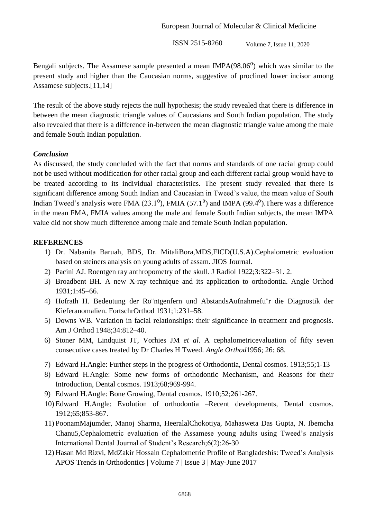**ISSN 2515-8260** Volume 7, Issue 11, 2020

Bengali subjects. The Assamese sample presented a mean IMPA $(98.06<sup>0</sup>)$  which was similar to the present study and higher than the Caucasian norms, suggestive of proclined lower incisor among Assamese subjects.[11,14]

The result of the above study rejects the null hypothesis; the study revealed that there is difference in between the mean diagnostic triangle values of Caucasians and South Indian population. The study also revealed that there is a difference in-between the mean diagnostic triangle value among the male and female South Indian population.

#### *Conclusion*

As discussed, the study concluded with the fact that norms and standards of one racial group could not be used without modification for other racial group and each different racial group would have to be treated according to its individual characteristics. The present study revealed that there is significant difference among South Indian and Caucasian in Tweed's value, the mean value of South Indian Tweed's analysis were FMA  $(23.1^{\circ})$ , FMIA  $(57.1^{\circ})$  and IMPA  $(99.4^{\circ})$ . There was a difference in the mean FMA, FMIA values among the male and female South Indian subjects, the mean IMPA value did not show much difference among male and female South Indian population.

#### **REFERENCES**

- 1) Dr. Nabanita Baruah, BDS, Dr. MitaliBora,MDS,FICD(U.S.A).Cephalometric evaluation based on steiners analysis on young adults of assam. JIOS Journal.
- 2) Pacini AJ. Roentgen ray anthropometry of the skull. J Radiol 1922;3:322–31. 2.
- 3) Broadbent BH. A new X-ray technique and its application to orthodontia. Angle Orthod 1931;1:45–66.
- 4) Hofrath H. Bedeutung der Ro¨ntgenfern und AbstandsAufnahmefu¨r die Diagnostik der Kieferanomalien. FortschrOrthod 1931;1:231–58.
- 5) Downs WB. Variation in facial relationships: their significance in treatment and prognosis. Am J Orthod 1948;34:812–40.
- 6) Stoner MM, Lindquist JT, Vorhies JM *et al*. A cephalometricevaluation of fifty seven consecutive cases treated by Dr Charles H Tweed. *Angle Orthod*1956; 26: 68.
- 7) Edward H.Angle: Further steps in the progress of Orthodontia, Dental cosmos. 1913;55;1-13
- 8) Edward H.Angle: Some new forms of orthodontic Mechanism, and Reasons for their Introduction, Dental cosmos. 1913;68;969-994.
- 9) Edward H.Angle: Bone Growing, Dental cosmos. 1910;52;261-267.
- 10) Edward H.Angle: Evolution of orthodontia –Recent developments, Dental cosmos. 1912;65;853-867.
- 11) PoonamMajumder, Manoj Sharma, HeeralalChokotiya, Mahasweta Das Gupta, N. Ibemcha Chanu5,Cephalometric evaluation of the Assamese young adults using Tweed's analysis International Dental Journal of Student's Research;6(2):26-30
- 12) Hasan Md Rizvi, MdZakir Hossain Cephalometric Profile of Bangladeshis: Tweed's Analysis APOS Trends in Orthodontics | Volume 7 | Issue 3 | May-June 2017